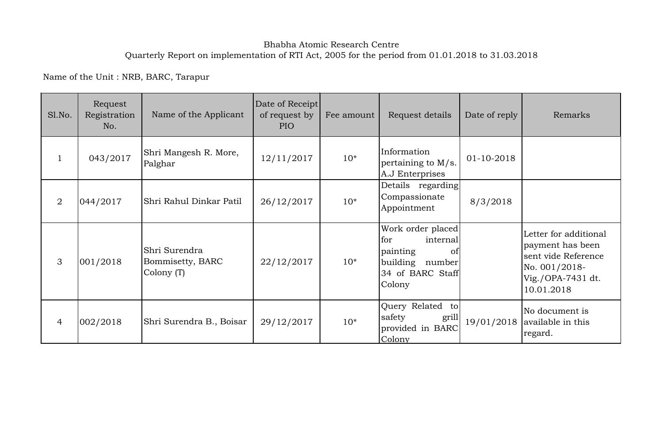## Bhabha Atomic Research Centre Quarterly Report on implementation of RTI Act, 2005 for the period from 01.01.2018 to 31.03.2018

Name of the Unit : NRB, BARC, Tarapur

| Sl.No.         | Request<br>Registration<br>No. | Name of the Applicant                           | Date of Receipt<br>of request by<br>PIO | Fee amount | Request details                                                                                         | Date of reply | Remarks                                                                                                              |
|----------------|--------------------------------|-------------------------------------------------|-----------------------------------------|------------|---------------------------------------------------------------------------------------------------------|---------------|----------------------------------------------------------------------------------------------------------------------|
| $\mathbf{1}$   | 043/2017                       | Shri Mangesh R. More,<br>Palghar                | 12/11/2017                              | $10*$      | Information<br>01-10-2018<br>pertaining to $M/s$ .<br>A.J Enterprises                                   |               |                                                                                                                      |
| $\overline{2}$ | 044/2017                       | Shri Rahul Dinkar Patil                         | 26/12/2017                              | $10*$      | Details regarding<br>Compassionate<br>Appointment                                                       | 8/3/2018      |                                                                                                                      |
| 3              | 001/2018                       | Shri Surendra<br>Bommisetty, BARC<br>Colony (T) | 22/12/2017                              | $10*$      | Work order placed<br>for<br>internal<br>painting<br>of<br>building number<br>34 of BARC Staff<br>Colony |               | Letter for additional<br>payment has been<br>sent vide Reference<br>No. 001/2018-<br>Vig./OPA-7431 dt.<br>10.01.2018 |
| $\overline{4}$ | 002/2018                       | Shri Surendra B., Boisar                        | 29/12/2017                              | $10*$      | Query Related to<br>safety<br>grill<br>provided in BARC<br>Colony                                       |               | No document is<br>$19/01/2018$ available in this<br>regard.                                                          |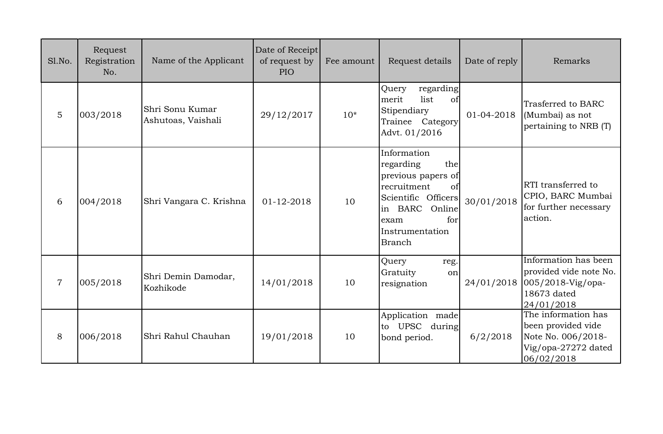| Sl.No.         | Request<br>Registration<br>No. | Name of the Applicant                 | Date of Receipt<br>of request by<br><b>PIO</b> | Fee amount | Request details                                                                                                                                                           | Date of reply | Remarks                                                                                                     |
|----------------|--------------------------------|---------------------------------------|------------------------------------------------|------------|---------------------------------------------------------------------------------------------------------------------------------------------------------------------------|---------------|-------------------------------------------------------------------------------------------------------------|
| $\overline{5}$ | 003/2018                       | Shri Sonu Kumar<br>Ashutoas, Vaishali | 29/12/2017                                     | $10*$      | regarding<br>Query<br>list<br>merit<br>of<br>Stipendiary<br>Trainee Category<br>Advt. 01/2016                                                                             | 01-04-2018    | Trasferred to BARC<br>(Mumbai) as not<br>pertaining to NRB (T)                                              |
| 6              | 004/2018                       | Shri Vangara C. Krishna               | 01-12-2018                                     | 10         | Information<br>regarding<br>the<br>previous papers of<br>recruitment<br>of<br>Scientific Officers<br>in BARC<br>Online<br>for<br>exam<br>Instrumentation<br><b>Branch</b> | 30/01/2018    | RTI transferred to<br>CPIO, BARC Mumbai<br>for further necessary<br>action.                                 |
| $\overline{7}$ | 005/2018                       | Shri Demin Damodar,<br>Kozhikode      | 14/01/2018                                     | 10         | Query<br>reg.<br>Gratuity<br>on<br>resignation                                                                                                                            |               | Information has been<br>provided vide note No.<br>24/01/2018 005/2018-Vig/opa-<br>18673 dated<br>24/01/2018 |
| 8              | 006/2018                       | Shri Rahul Chauhan                    | 19/01/2018                                     | 10         | Application made<br>to UPSC<br>during<br>bond period.                                                                                                                     | 6/2/2018      | The information has<br>been provided vide<br>Note No. 006/2018-<br>Vig/opa-27272 dated<br>06/02/2018        |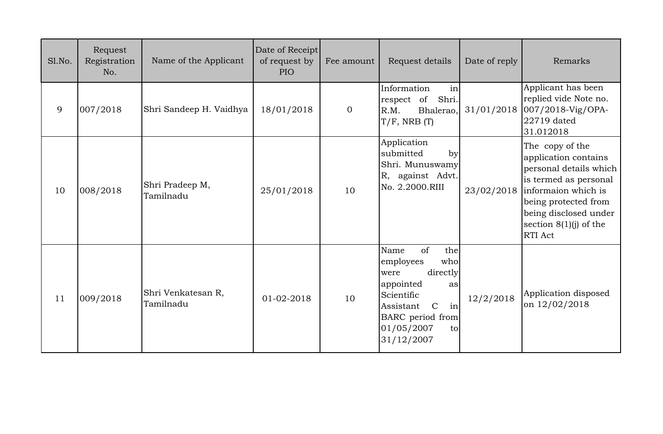| Sl.No. | Request<br>Registration<br>No. | Name of the Applicant           | Date of Receipt<br>of request by<br><b>PIO</b> | Fee amount     | Request details                                                                                                                                                                      | Date of reply | Remarks                                                                                                                                                                                                   |
|--------|--------------------------------|---------------------------------|------------------------------------------------|----------------|--------------------------------------------------------------------------------------------------------------------------------------------------------------------------------------|---------------|-----------------------------------------------------------------------------------------------------------------------------------------------------------------------------------------------------------|
| 9      | 007/2018                       | Shri Sandeep H. Vaidhya         | 18/01/2018                                     | $\overline{0}$ | Information<br>in<br>respect of<br>Shri.<br>R.M.<br>Bhalerao,<br>$T/F$ , NRB $(T)$                                                                                                   | 31/01/2018    | Applicant has been<br>replied vide Note no.<br>007/2018-Vig/OPA-<br>22719 dated<br>31.012018                                                                                                              |
| 10     | 008/2018                       | Shri Pradeep M,<br>Tamilnadu    | 25/01/2018                                     | 10             | Application<br>submitted<br>by<br>Shri. Munuswamy<br>R, against Advt.<br>No. 2.2000.RIII                                                                                             | 23/02/2018    | The copy of the<br>application contains<br>personal details which<br>is termed as personal<br>informaion which is<br>being protected from<br>being disclosed under<br>section $8(1)(j)$ of the<br>RTI Act |
| 11     | 009/2018                       | Shri Venkatesan R,<br>Tamilnadu | 01-02-2018                                     | 10             | Name<br>of<br>the<br>employees<br>who<br>directly<br>were<br>appointed<br>as<br>Scientific<br>in<br>Assistant<br>$\mathcal{C}$<br>BARC period from<br>01/05/2007<br>to<br>31/12/2007 | 12/2/2018     | Application disposed<br>on 12/02/2018                                                                                                                                                                     |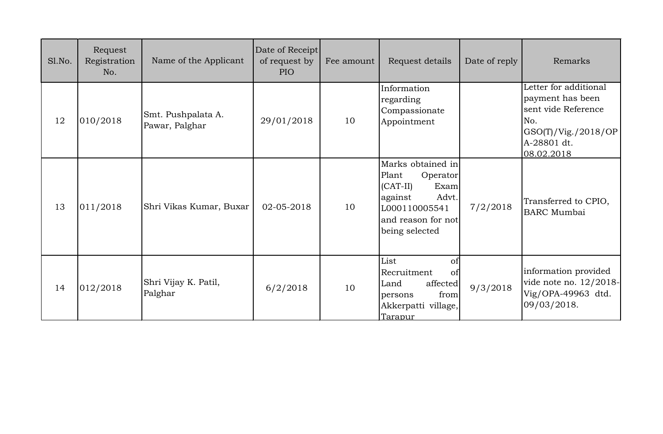| Sl.No. | Request<br>Registration<br>No. | Name of the Applicant                | Date of Receipt<br>of request by<br><b>PIO</b> | Fee amount | Request details                                                                                                                           | Date of reply | Remarks                                                                                                                     |
|--------|--------------------------------|--------------------------------------|------------------------------------------------|------------|-------------------------------------------------------------------------------------------------------------------------------------------|---------------|-----------------------------------------------------------------------------------------------------------------------------|
| 12     | 010/2018                       | Smt. Pushpalata A.<br>Pawar, Palghar | 29/01/2018                                     | 10         | Information<br>regarding<br>Compassionate<br>Appointment                                                                                  |               | Letter for additional<br>payment has been<br>sent vide Reference<br>No.<br>GSO(T)/Vig./2018/OP<br>A-28801 dt.<br>08.02.2018 |
| 13     | 011/2018                       | Shri Vikas Kumar, Buxar              | 02-05-2018                                     | 10         | Marks obtained in<br>Plant<br>Operator<br>$(CAT-II)$<br>Exam<br>Advt.<br>against<br>L000110005541<br>and reason for not<br>being selected | 7/2/2018      | Transferred to CPIO,<br><b>BARC</b> Mumbai                                                                                  |
| 14     | 012/2018                       | Shri Vijay K. Patil,<br>Palghar      | 6/2/2018                                       | 10         | List<br>of<br>Recruitment<br>$\sigma$<br>affected<br>Land<br>from<br>persons<br>Akkerpatti village,<br>Tarapur                            | 9/3/2018      | information provided<br>vide note no. 12/2018-<br>Vig/OPA-49963 dtd.<br>09/03/2018.                                         |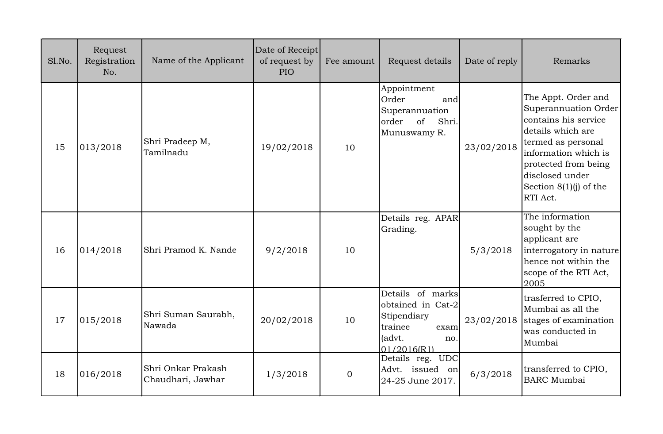| Sl.No. | Request<br>Registration<br>No. | Name of the Applicant                   | Date of Receipt<br>of request by<br><b>PIO</b> | Fee amount | Request details                                                                                         | Date of reply | Remarks                                                                                                                                                                                                                   |
|--------|--------------------------------|-----------------------------------------|------------------------------------------------|------------|---------------------------------------------------------------------------------------------------------|---------------|---------------------------------------------------------------------------------------------------------------------------------------------------------------------------------------------------------------------------|
| 15     | 013/2018                       | Shri Pradeep M,<br>Tamilnadu            | 19/02/2018                                     | 10         | Appointment<br>Order<br>and<br>Superannuation<br>order<br>of<br>Shri.<br>Munuswamy R.                   | 23/02/2018    | The Appt. Order and<br>Superannuation Order<br>contains his service<br>details which are<br>termed as personal<br>information which is<br>protected from being<br>disclosed under<br>Section $8(1)(i)$ of the<br>RTI Act. |
| 16     | 014/2018                       | Shri Pramod K. Nande                    | 9/2/2018                                       | 10         | Details reg. APAR<br>Grading.                                                                           | 5/3/2018      | The information<br>sought by the<br>applicant are<br>interrogatory in nature<br>hence not within the<br>scope of the RTI Act,<br>2005                                                                                     |
| 17     | 015/2018                       | Shri Suman Saurabh,<br>Nawada           | 20/02/2018                                     | 10         | Details of marks<br>obtained in Cat-2<br>Stipendiary<br>trainee<br>exam<br>(advt.<br>no.<br>01/2016(R1) | 23/02/2018    | trasferred to CPIO,<br>Mumbai as all the<br>stages of examination<br>was conducted in<br>Mumbai                                                                                                                           |
| 18     | 016/2018                       | Shri Onkar Prakash<br>Chaudhari, Jawhar | 1/3/2018                                       | $\Omega$   | Details reg. UDC<br>Advt. issued on<br>24-25 June 2017.                                                 | 6/3/2018      | transferred to CPIO,<br><b>BARC</b> Mumbai                                                                                                                                                                                |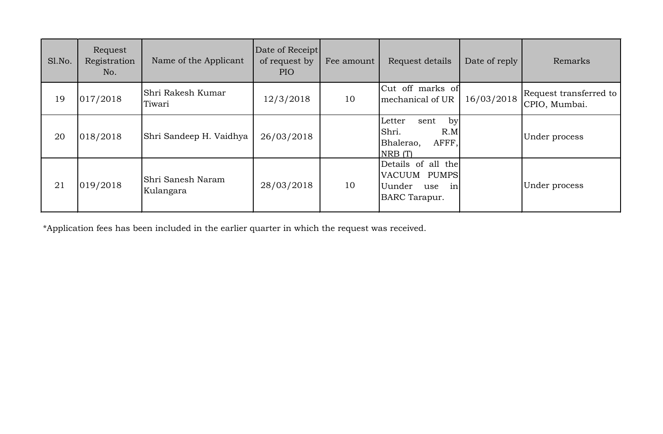| Sl.No. | Request<br>Registration<br>No. | Name of the Applicant          | Date of Receipt<br>of request by<br>PIO | Fee amount | Request details                                                                   | Date of reply | Remarks                                 |
|--------|--------------------------------|--------------------------------|-----------------------------------------|------------|-----------------------------------------------------------------------------------|---------------|-----------------------------------------|
| 19     | 017/2018                       | Shri Rakesh Kumar<br>Tiwari    | 12/3/2018                               | 10         | Cut off marks of<br>mechanical of UR                                              | 16/03/2018    | Request transferred to<br>CPIO, Mumbai. |
| 20     | 018/2018                       | Shri Sandeep H. Vaidhya        | 26/03/2018                              |            | by<br>Letter<br>sent<br>Shri.<br>R.M<br>AFFF,<br>Bhalerao,<br>NRB(T)              |               | Under process                           |
| 21     | 019/2018                       | Shri Sanesh Naram<br>Kulangara | 28/03/2018                              | 10         | Details of all the<br>VACUUM PUMPS<br>Uunder<br>in<br>use<br><b>BARC</b> Tarapur. |               | Under process                           |

\*Application fees has been included in the earlier quarter in which the request was received.